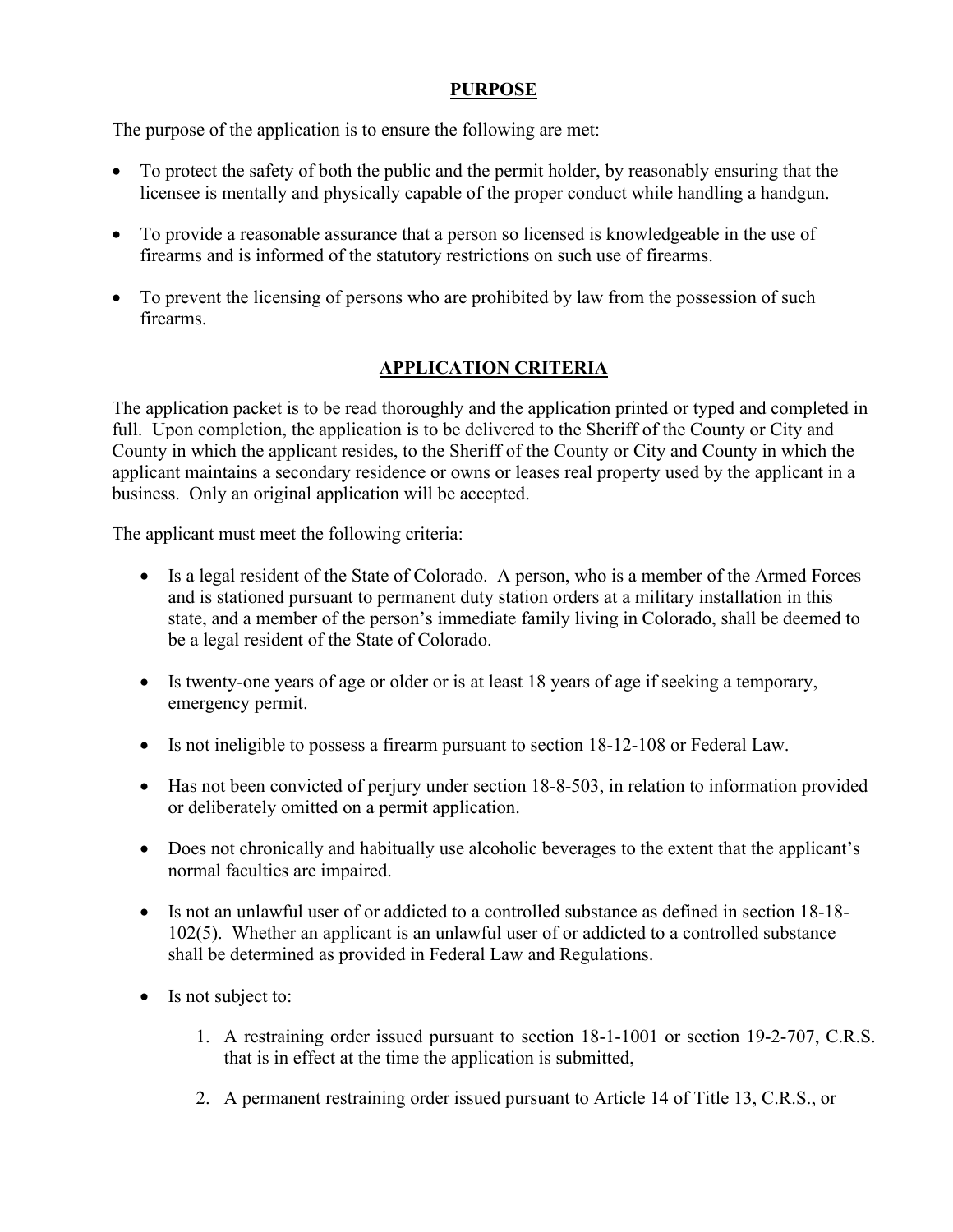## **PURPOSE**

The purpose of the application is to ensure the following are met:

- To protect the safety of both the public and the permit holder, by reasonably ensuring that the licensee is mentally and physically capable of the proper conduct while handling a handgun.
- To provide a reasonable assurance that a person so licensed is knowledgeable in the use of firearms and is informed of the statutory restrictions on such use of firearms.
- To prevent the licensing of persons who are prohibited by law from the possession of such firearms.

### **APPLICATION CRITERIA**

The application packet is to be read thoroughly and the application printed or typed and completed in full. Upon completion, the application is to be delivered to the Sheriff of the County or City and County in which the applicant resides, to the Sheriff of the County or City and County in which the applicant maintains a secondary residence or owns or leases real property used by the applicant in a business. Only an original application will be accepted.

The applicant must meet the following criteria:

- Is a legal resident of the State of Colorado. A person, who is a member of the Armed Forces and is stationed pursuant to permanent duty station orders at a military installation in this state, and a member of the person's immediate family living in Colorado, shall be deemed to be a legal resident of the State of Colorado.
- Is twenty-one years of age or older or is at least 18 years of age if seeking a temporary, emergency permit.
- Is not ineligible to possess a firearm pursuant to section 18-12-108 or Federal Law.
- Has not been convicted of perjury under section 18-8-503, in relation to information provided or deliberately omitted on a permit application.
- Does not chronically and habitually use alcoholic beverages to the extent that the applicant's normal faculties are impaired.
- Is not an unlawful user of or addicted to a controlled substance as defined in section 18-18-102(5). Whether an applicant is an unlawful user of or addicted to a controlled substance shall be determined as provided in Federal Law and Regulations.
- Is not subject to:
	- 1. A restraining order issued pursuant to section 18-1-1001 or section 19-2-707, C.R.S. that is in effect at the time the application is submitted,
	- 2. A permanent restraining order issued pursuant to Article 14 of Title 13, C.R.S., or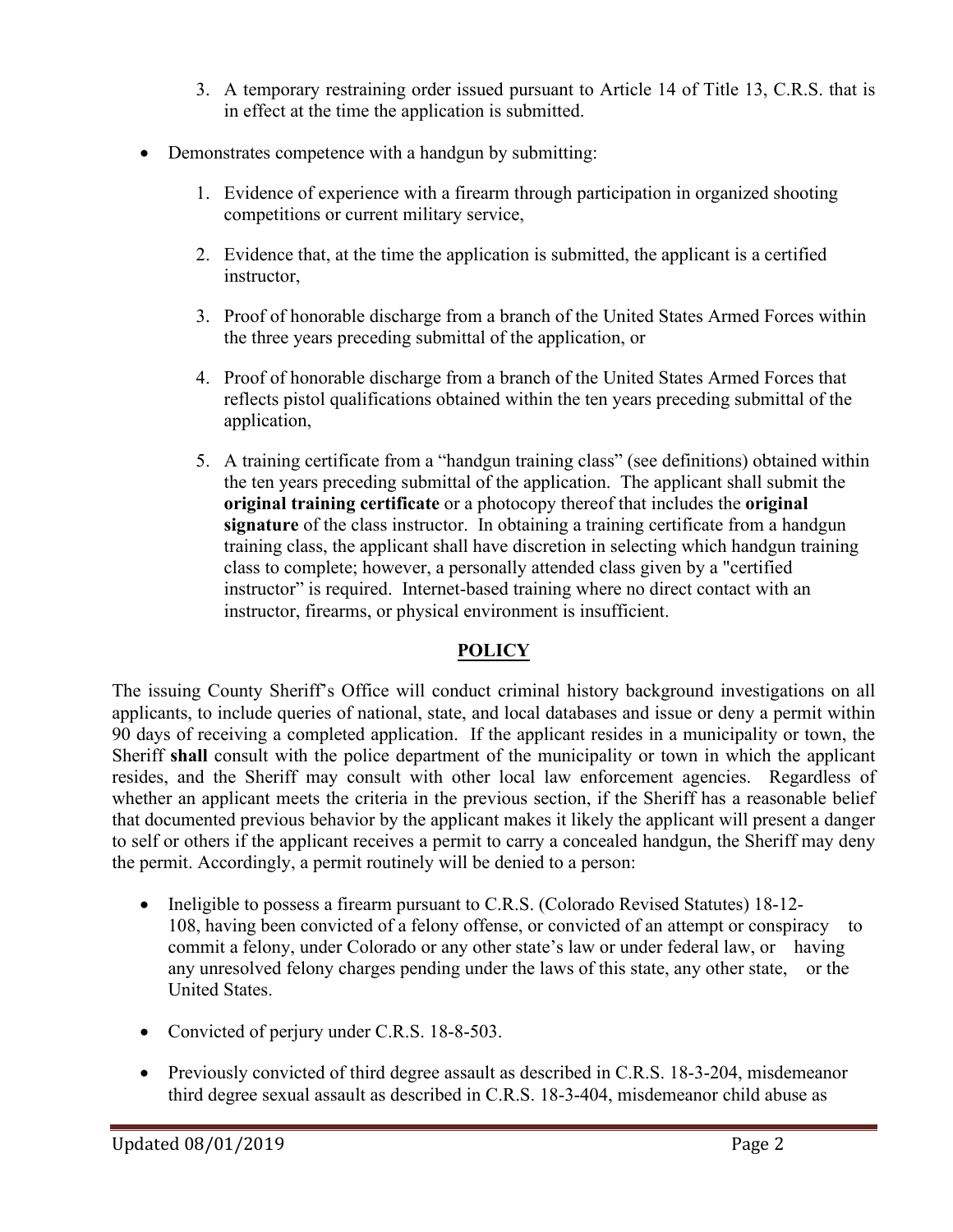- 3. A temporary restraining order issued pursuant to Article 14 of Title 13, C.R.S. that is in effect at the time the application is submitted.
- Demonstrates competence with a handgun by submitting:
	- 1. Evidence of experience with a firearm through participation in organized shooting competitions or current military service,
	- 2. Evidence that, at the time the application is submitted, the applicant is a certified instructor,
	- 3. Proof of honorable discharge from a branch of the United States Armed Forces within the three years preceding submittal of the application, or
	- 4. Proof of honorable discharge from a branch of the United States Armed Forces that reflects pistol qualifications obtained within the ten years preceding submittal of the application,
	- 5. A training certificate from a "handgun training class" (see definitions) obtained within the ten years preceding submittal of the application. The applicant shall submit the **original training certificate** or a photocopy thereof that includes the **original signature** of the class instructor. In obtaining a training certificate from a handgun training class, the applicant shall have discretion in selecting which handgun training class to complete; however, a personally attended class given by a "certified instructor" is required. Internet-based training where no direct contact with an instructor, firearms, or physical environment is insufficient.

# **POLICY**

The issuing County Sheriff's Office will conduct criminal history background investigations on all applicants, to include queries of national, state, and local databases and issue or deny a permit within 90 days of receiving a completed application. If the applicant resides in a municipality or town, the Sheriff **shall** consult with the police department of the municipality or town in which the applicant resides, and the Sheriff may consult with other local law enforcement agencies. Regardless of whether an applicant meets the criteria in the previous section, if the Sheriff has a reasonable belief that documented previous behavior by the applicant makes it likely the applicant will present a danger to self or others if the applicant receives a permit to carry a concealed handgun, the Sheriff may deny the permit. Accordingly, a permit routinely will be denied to a person:

- Ineligible to possess a firearm pursuant to C.R.S. (Colorado Revised Statutes) 18-12-108, having been convicted of a felony offense, or convicted of an attempt or conspiracy to commit a felony, under Colorado or any other state's law or under federal law, or having any unresolved felony charges pending under the laws of this state, any other state, or the United States.
- Convicted of perjury under C.R.S. 18-8-503.
- Previously convicted of third degree assault as described in C.R.S. 18-3-204, misdemeanor third degree sexual assault as described in C.R.S. 18-3-404, misdemeanor child abuse as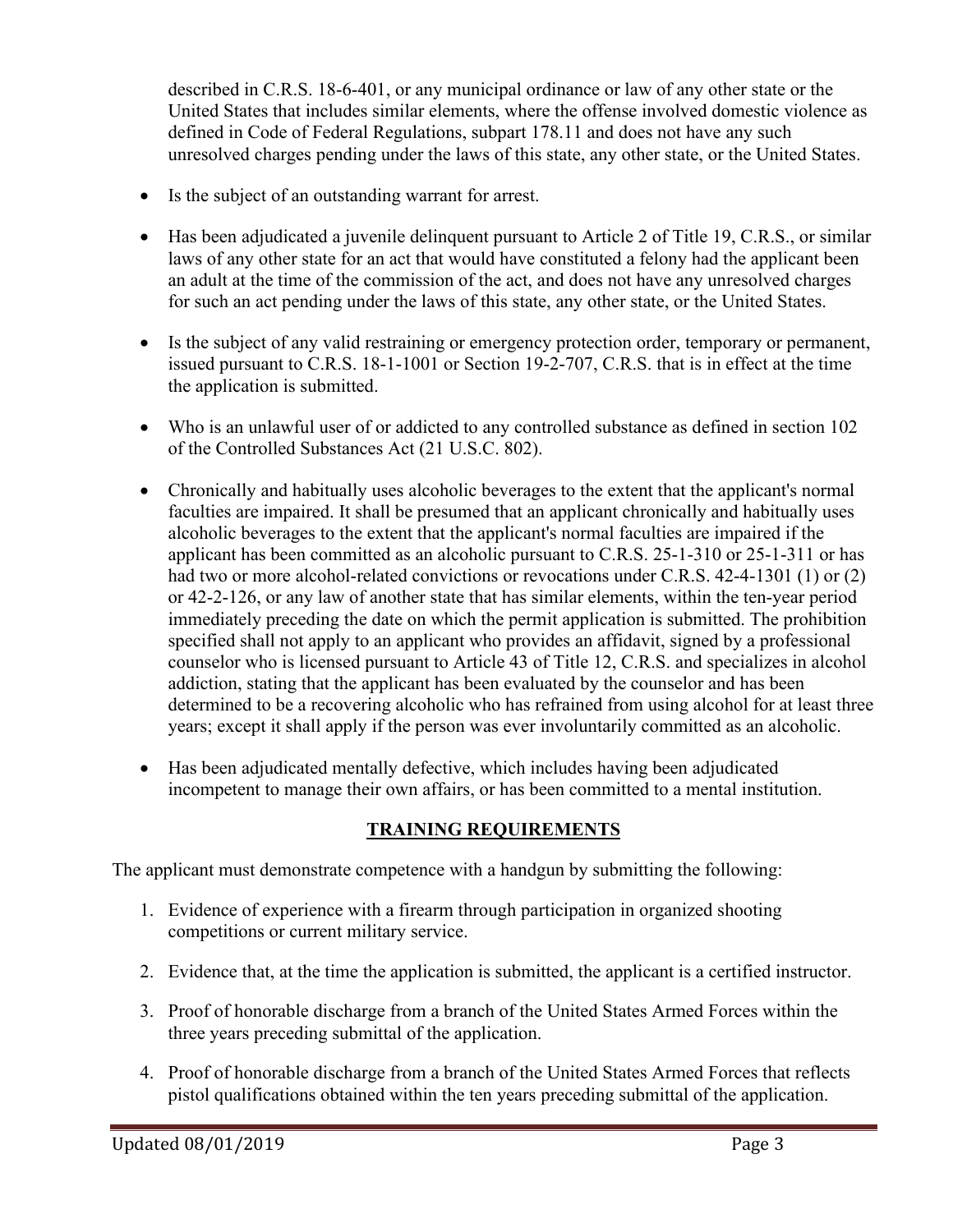described in C.R.S. 18-6-401, or any municipal ordinance or law of any other state or the United States that includes similar elements, where the offense involved domestic violence as defined in Code of Federal Regulations, subpart 178.11 and does not have any such unresolved charges pending under the laws of this state, any other state, or the United States.

- Is the subject of an outstanding warrant for arrest.
- Has been adjudicated a juvenile delinquent pursuant to Article 2 of Title 19, C.R.S., or similar laws of any other state for an act that would have constituted a felony had the applicant been an adult at the time of the commission of the act, and does not have any unresolved charges for such an act pending under the laws of this state, any other state, or the United States.
- Is the subject of any valid restraining or emergency protection order, temporary or permanent, issued pursuant to C.R.S. 18-1-1001 or Section 19-2-707, C.R.S. that is in effect at the time the application is submitted.
- Who is an unlawful user of or addicted to any controlled substance as defined in section 102 of the Controlled Substances Act (21 U.S.C. 802).
- Chronically and habitually uses alcoholic beverages to the extent that the applicant's normal faculties are impaired. It shall be presumed that an applicant chronically and habitually uses alcoholic beverages to the extent that the applicant's normal faculties are impaired if the applicant has been committed as an alcoholic pursuant to C.R.S. 25-1-310 or 25-1-311 or has had two or more alcohol-related convictions or revocations under C.R.S. 42-4-1301 (1) or (2) or 42-2-126, or any law of another state that has similar elements, within the ten-year period immediately preceding the date on which the permit application is submitted. The prohibition specified shall not apply to an applicant who provides an affidavit, signed by a professional counselor who is licensed pursuant to Article 43 of Title 12, C.R.S. and specializes in alcohol addiction, stating that the applicant has been evaluated by the counselor and has been determined to be a recovering alcoholic who has refrained from using alcohol for at least three years; except it shall apply if the person was ever involuntarily committed as an alcoholic.
- Has been adjudicated mentally defective, which includes having been adjudicated incompetent to manage their own affairs, or has been committed to a mental institution.

## **TRAINING REQUIREMENTS**

The applicant must demonstrate competence with a handgun by submitting the following:

- 1. Evidence of experience with a firearm through participation in organized shooting competitions or current military service.
- 2. Evidence that, at the time the application is submitted, the applicant is a certified instructor.
- 3. Proof of honorable discharge from a branch of the United States Armed Forces within the three years preceding submittal of the application.
- 4. Proof of honorable discharge from a branch of the United States Armed Forces that reflects pistol qualifications obtained within the ten years preceding submittal of the application.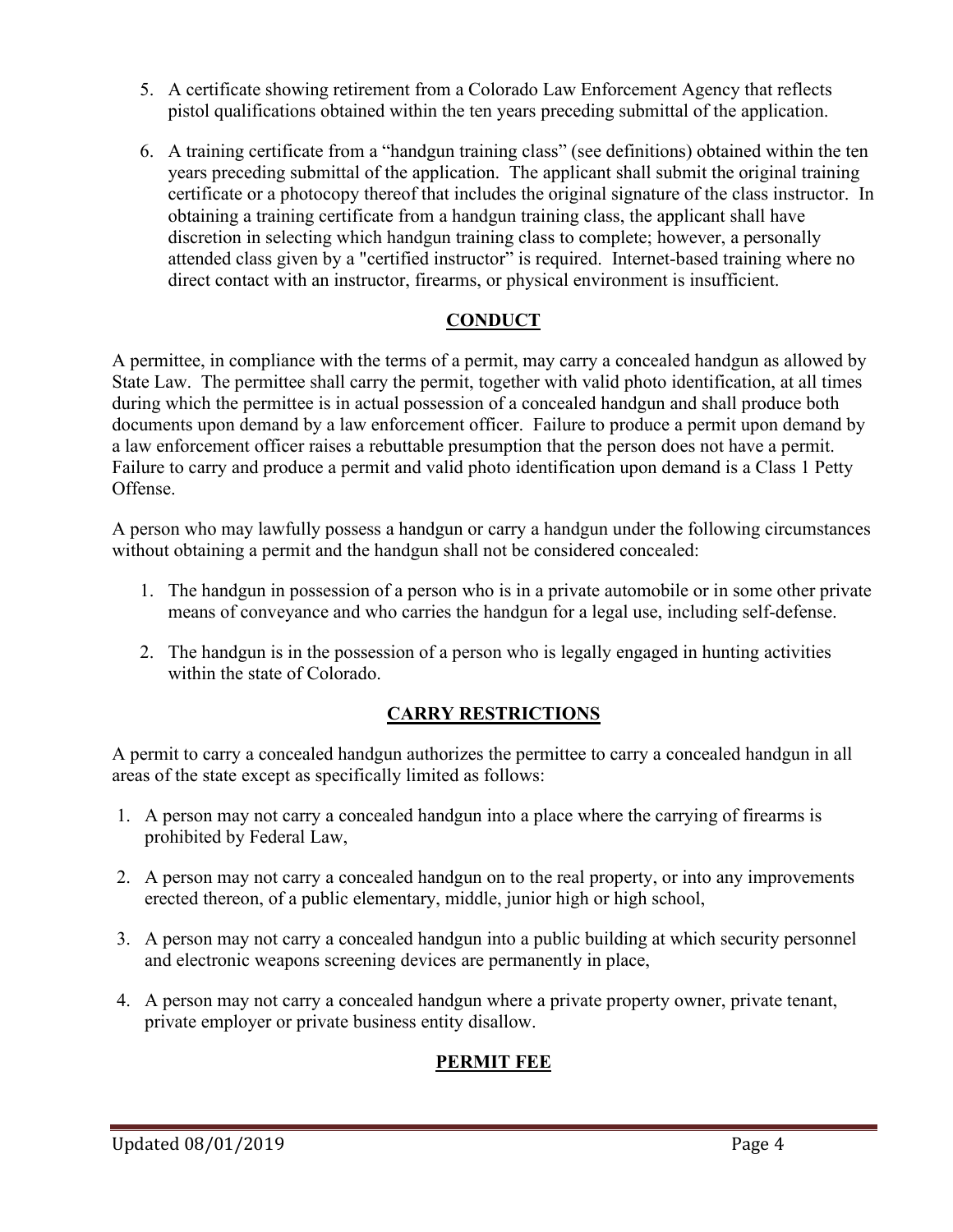- 5. A certificate showing retirement from a Colorado Law Enforcement Agency that reflects pistol qualifications obtained within the ten years preceding submittal of the application.
- 6. A training certificate from a "handgun training class" (see definitions) obtained within the ten years preceding submittal of the application. The applicant shall submit the original training certificate or a photocopy thereof that includes the original signature of the class instructor. In obtaining a training certificate from a handgun training class, the applicant shall have discretion in selecting which handgun training class to complete; however, a personally attended class given by a "certified instructor" is required. Internet-based training where no direct contact with an instructor, firearms, or physical environment is insufficient.

## **CONDUCT**

A permittee, in compliance with the terms of a permit, may carry a concealed handgun as allowed by State Law. The permittee shall carry the permit, together with valid photo identification, at all times during which the permittee is in actual possession of a concealed handgun and shall produce both documents upon demand by a law enforcement officer. Failure to produce a permit upon demand by a law enforcement officer raises a rebuttable presumption that the person does not have a permit. Failure to carry and produce a permit and valid photo identification upon demand is a Class 1 Petty Offense.

A person who may lawfully possess a handgun or carry a handgun under the following circumstances without obtaining a permit and the handgun shall not be considered concealed:

- 1. The handgun in possession of a person who is in a private automobile or in some other private means of conveyance and who carries the handgun for a legal use, including self-defense.
- 2. The handgun is in the possession of a person who is legally engaged in hunting activities within the state of Colorado.

### **CARRY RESTRICTIONS**

A permit to carry a concealed handgun authorizes the permittee to carry a concealed handgun in all areas of the state except as specifically limited as follows:

- 1. A person may not carry a concealed handgun into a place where the carrying of firearms is prohibited by Federal Law,
- 2. A person may not carry a concealed handgun on to the real property, or into any improvements erected thereon, of a public elementary, middle, junior high or high school,
- 3. A person may not carry a concealed handgun into a public building at which security personnel and electronic weapons screening devices are permanently in place,
- 4. A person may not carry a concealed handgun where a private property owner, private tenant, private employer or private business entity disallow.

# **PERMIT FEE**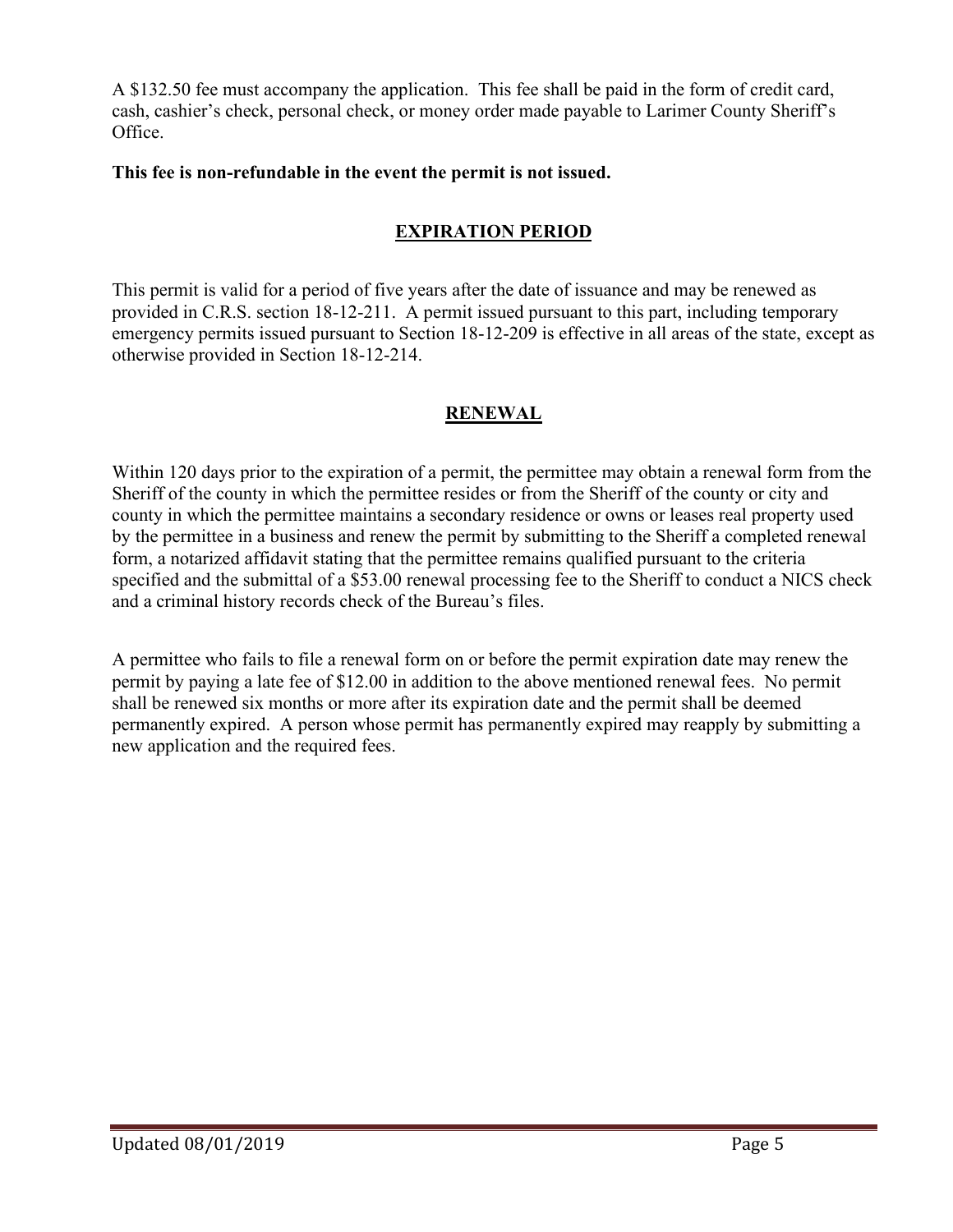A \$132.50 fee must accompany the application. This fee shall be paid in the form of credit card, cash, cashier's check, personal check, or money order made payable to Larimer County Sheriff's Office.

## **This fee is non-refundable in the event the permit is not issued.**

## **EXPIRATION PERIOD**

This permit is valid for a period of five years after the date of issuance and may be renewed as provided in C.R.S. section 18-12-211. A permit issued pursuant to this part, including temporary emergency permits issued pursuant to Section 18-12-209 is effective in all areas of the state, except as otherwise provided in Section 18-12-214.

## **RENEWAL**

Within 120 days prior to the expiration of a permit, the permittee may obtain a renewal form from the Sheriff of the county in which the permittee resides or from the Sheriff of the county or city and county in which the permittee maintains a secondary residence or owns or leases real property used by the permittee in a business and renew the permit by submitting to the Sheriff a completed renewal form, a notarized affidavit stating that the permittee remains qualified pursuant to the criteria specified and the submittal of a \$53.00 renewal processing fee to the Sheriff to conduct a NICS check and a criminal history records check of the Bureau's files.

A permittee who fails to file a renewal form on or before the permit expiration date may renew the permit by paying a late fee of \$12.00 in addition to the above mentioned renewal fees. No permit shall be renewed six months or more after its expiration date and the permit shall be deemed permanently expired. A person whose permit has permanently expired may reapply by submitting a new application and the required fees.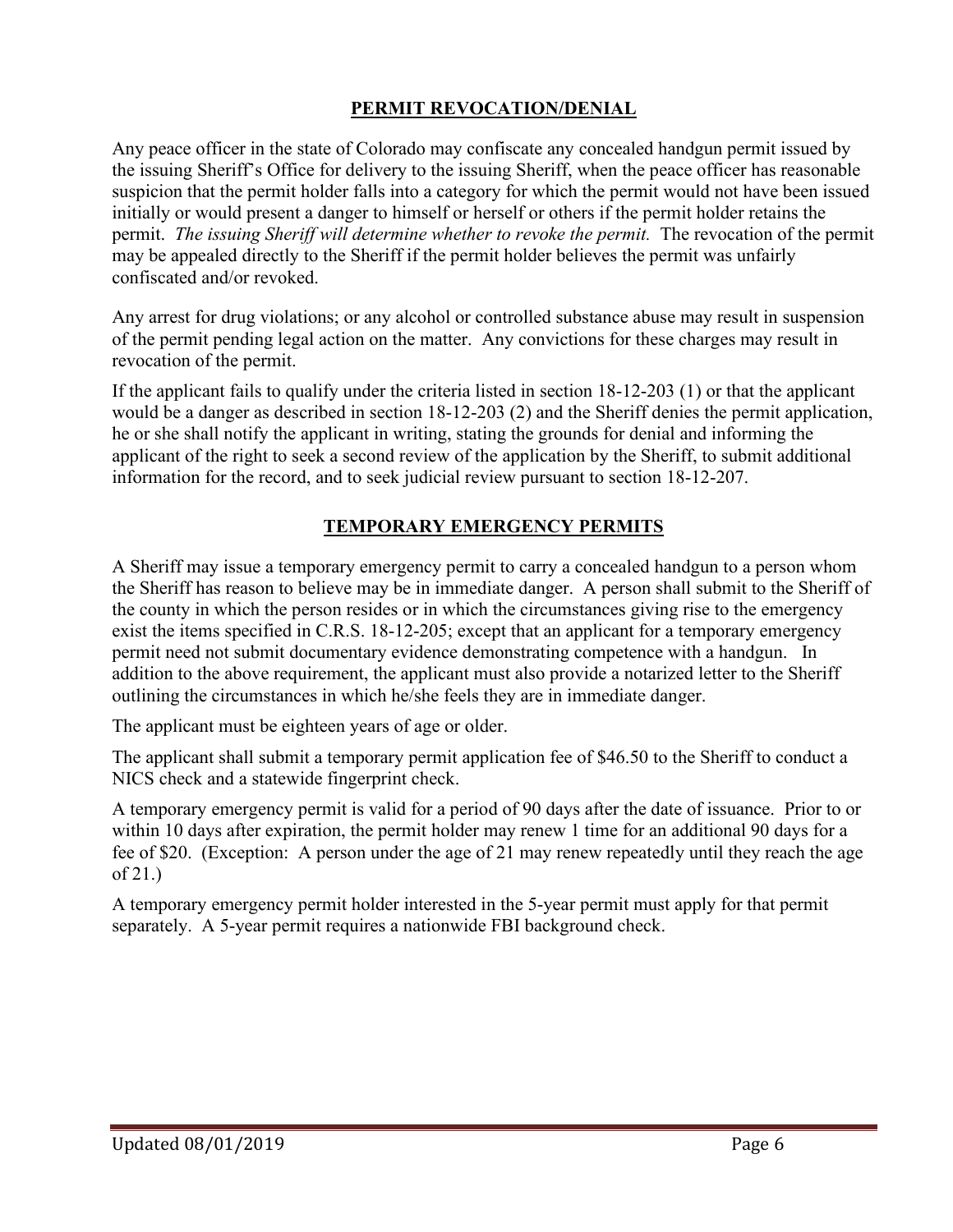# **PERMIT REVOCATION/DENIAL**

Any peace officer in the state of Colorado may confiscate any concealed handgun permit issued by the issuing Sheriff's Office for delivery to the issuing Sheriff, when the peace officer has reasonable suspicion that the permit holder falls into a category for which the permit would not have been issued initially or would present a danger to himself or herself or others if the permit holder retains the permit. *The issuing Sheriff will determine whether to revoke the permit.* The revocation of the permit may be appealed directly to the Sheriff if the permit holder believes the permit was unfairly confiscated and/or revoked.

Any arrest for drug violations; or any alcohol or controlled substance abuse may result in suspension of the permit pending legal action on the matter. Any convictions for these charges may result in revocation of the permit.

If the applicant fails to qualify under the criteria listed in section 18-12-203 (1) or that the applicant would be a danger as described in section 18-12-203 (2) and the Sheriff denies the permit application, he or she shall notify the applicant in writing, stating the grounds for denial and informing the applicant of the right to seek a second review of the application by the Sheriff, to submit additional information for the record, and to seek judicial review pursuant to section 18-12-207.

# **TEMPORARY EMERGENCY PERMITS**

A Sheriff may issue a temporary emergency permit to carry a concealed handgun to a person whom the Sheriff has reason to believe may be in immediate danger. A person shall submit to the Sheriff of the county in which the person resides or in which the circumstances giving rise to the emergency exist the items specified in C.R.S. 18-12-205; except that an applicant for a temporary emergency permit need not submit documentary evidence demonstrating competence with a handgun. In addition to the above requirement, the applicant must also provide a notarized letter to the Sheriff outlining the circumstances in which he/she feels they are in immediate danger.

The applicant must be eighteen years of age or older.

The applicant shall submit a temporary permit application fee of \$46.50 to the Sheriff to conduct a NICS check and a statewide fingerprint check.

A temporary emergency permit is valid for a period of 90 days after the date of issuance. Prior to or within 10 days after expiration, the permit holder may renew 1 time for an additional 90 days for a fee of \$20. (Exception: A person under the age of 21 may renew repeatedly until they reach the age of 21.)

A temporary emergency permit holder interested in the 5-year permit must apply for that permit separately. A 5-year permit requires a nationwide FBI background check.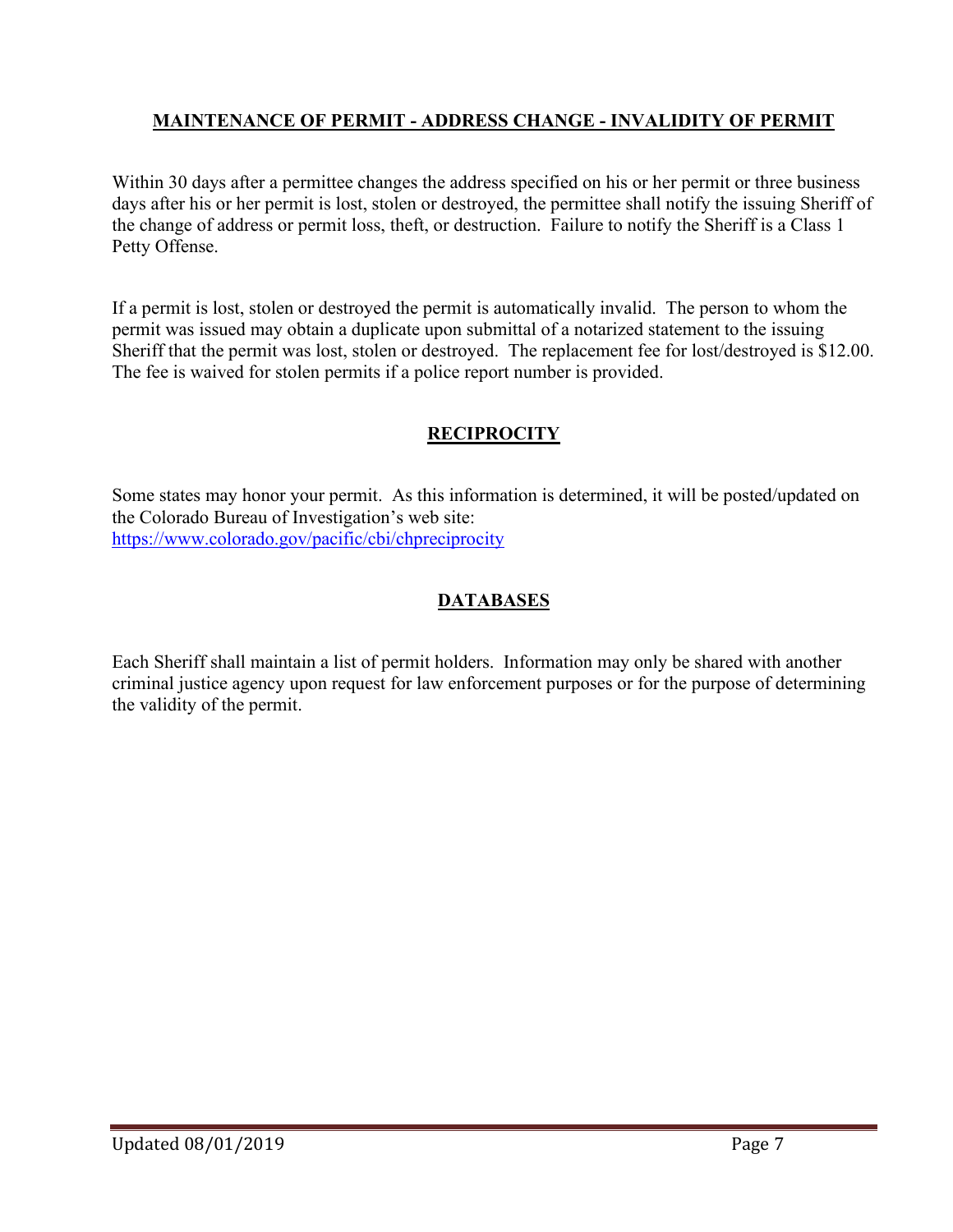## **MAINTENANCE OF PERMIT - ADDRESS CHANGE - INVALIDITY OF PERMIT**

Within 30 days after a permittee changes the address specified on his or her permit or three business days after his or her permit is lost, stolen or destroyed, the permittee shall notify the issuing Sheriff of the change of address or permit loss, theft, or destruction. Failure to notify the Sheriff is a Class 1 Petty Offense.

If a permit is lost, stolen or destroyed the permit is automatically invalid. The person to whom the permit was issued may obtain a duplicate upon submittal of a notarized statement to the issuing Sheriff that the permit was lost, stolen or destroyed. The replacement fee for lost/destroyed is \$12.00. The fee is waived for stolen permits if a police report number is provided.

## **RECIPROCITY**

Some states may honor your permit. As this information is determined, it will be posted/updated on the Colorado Bureau of Investigation's web site: <https://www.colorado.gov/pacific/cbi/chpreciprocity>

## **DATABASES**

Each Sheriff shall maintain a list of permit holders. Information may only be shared with another criminal justice agency upon request for law enforcement purposes or for the purpose of determining the validity of the permit.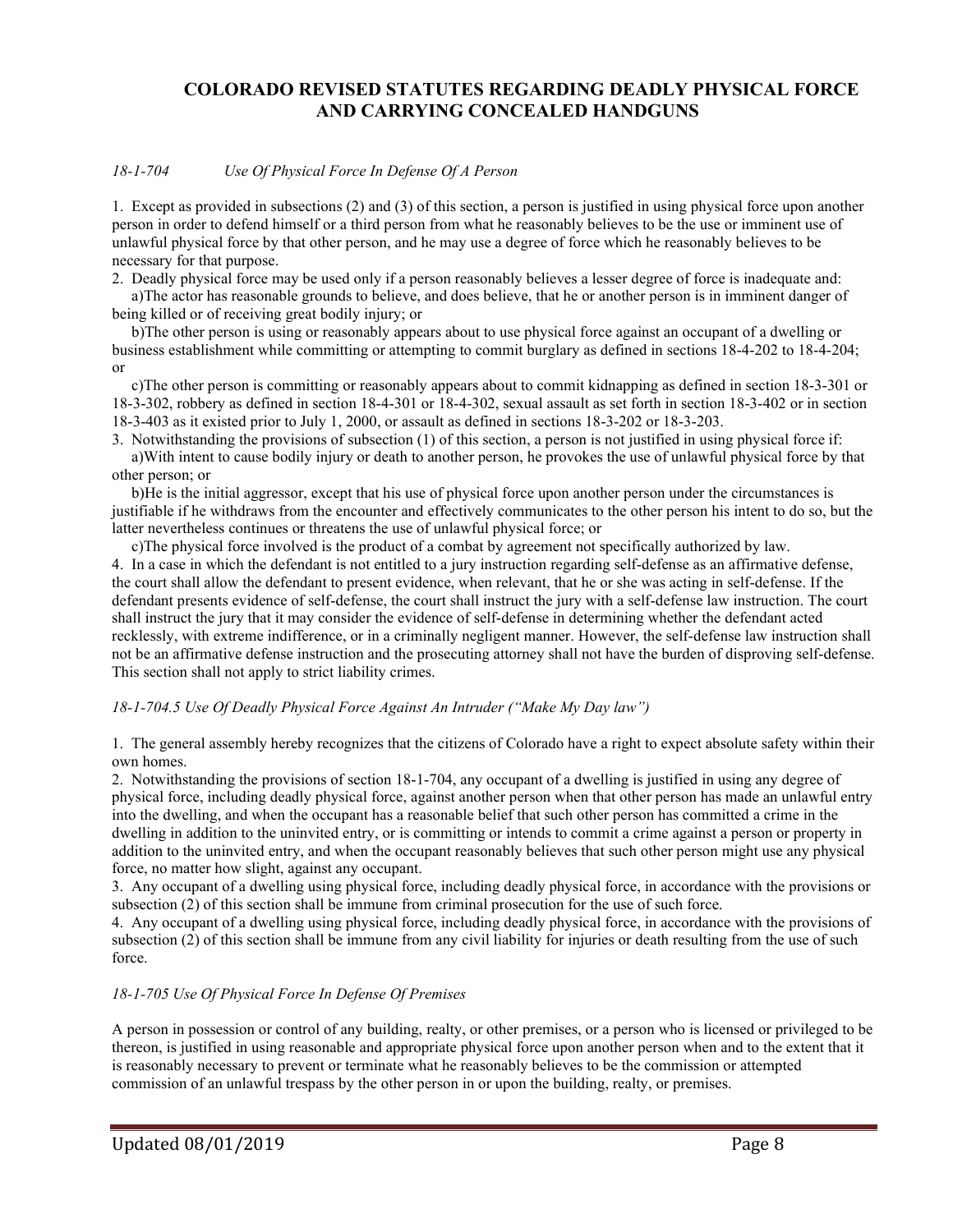### **COLORADO REVISED STATUTES REGARDING DEADLY PHYSICAL FORCE AND CARRYING CONCEALED HANDGUNS**

### *18-1-704 Use Of Physical Force In Defense Of A Person*

1. Except as provided in subsections (2) and (3) of this section, a person is justified in using physical force upon another person in order to defend himself or a third person from what he reasonably believes to be the use or imminent use of unlawful physical force by that other person, and he may use a degree of force which he reasonably believes to be necessary for that purpose.

2. Deadly physical force may be used only if a person reasonably believes a lesser degree of force is inadequate and:

 a)The actor has reasonable grounds to believe, and does believe, that he or another person is in imminent danger of being killed or of receiving great bodily injury; or

 b)The other person is using or reasonably appears about to use physical force against an occupant of a dwelling or business establishment while committing or attempting to commit burglary as defined in sections 18-4-202 to 18-4-204; or

 c)The other person is committing or reasonably appears about to commit kidnapping as defined in section 18-3-301 or 18-3-302, robbery as defined in section 18-4-301 or 18-4-302, sexual assault as set forth in section 18-3-402 or in section 18-3-403 as it existed prior to July 1, 2000, or assault as defined in sections 18-3-202 or 18-3-203.

3. Notwithstanding the provisions of subsection (1) of this section, a person is not justified in using physical force if: a)With intent to cause bodily injury or death to another person, he provokes the use of unlawful physical force by that other person; or

 b)He is the initial aggressor, except that his use of physical force upon another person under the circumstances is justifiable if he withdraws from the encounter and effectively communicates to the other person his intent to do so, but the latter nevertheless continues or threatens the use of unlawful physical force; or

 c)The physical force involved is the product of a combat by agreement not specifically authorized by law. 4. In a case in which the defendant is not entitled to a jury instruction regarding self-defense as an affirmative defense, the court shall allow the defendant to present evidence, when relevant, that he or she was acting in self-defense. If the defendant presents evidence of self-defense, the court shall instruct the jury with a self-defense law instruction. The court shall instruct the jury that it may consider the evidence of self-defense in determining whether the defendant acted recklessly, with extreme indifference, or in a criminally negligent manner. However, the self-defense law instruction shall not be an affirmative defense instruction and the prosecuting attorney shall not have the burden of disproving self-defense. This section shall not apply to strict liability crimes.

#### *18-1-704.5 Use Of Deadly Physical Force Against An Intruder ("Make My Day law")*

1. The general assembly hereby recognizes that the citizens of Colorado have a right to expect absolute safety within their own homes.

2. Notwithstanding the provisions of section 18-1-704, any occupant of a dwelling is justified in using any degree of physical force, including deadly physical force, against another person when that other person has made an unlawful entry into the dwelling, and when the occupant has a reasonable belief that such other person has committed a crime in the dwelling in addition to the uninvited entry, or is committing or intends to commit a crime against a person or property in addition to the uninvited entry, and when the occupant reasonably believes that such other person might use any physical force, no matter how slight, against any occupant.

3. Any occupant of a dwelling using physical force, including deadly physical force, in accordance with the provisions or subsection (2) of this section shall be immune from criminal prosecution for the use of such force.

4. Any occupant of a dwelling using physical force, including deadly physical force, in accordance with the provisions of subsection (2) of this section shall be immune from any civil liability for injuries or death resulting from the use of such force.

#### *18-1-705 Use Of Physical Force In Defense Of Premises*

A person in possession or control of any building, realty, or other premises, or a person who is licensed or privileged to be thereon, is justified in using reasonable and appropriate physical force upon another person when and to the extent that it is reasonably necessary to prevent or terminate what he reasonably believes to be the commission or attempted commission of an unlawful trespass by the other person in or upon the building, realty, or premises.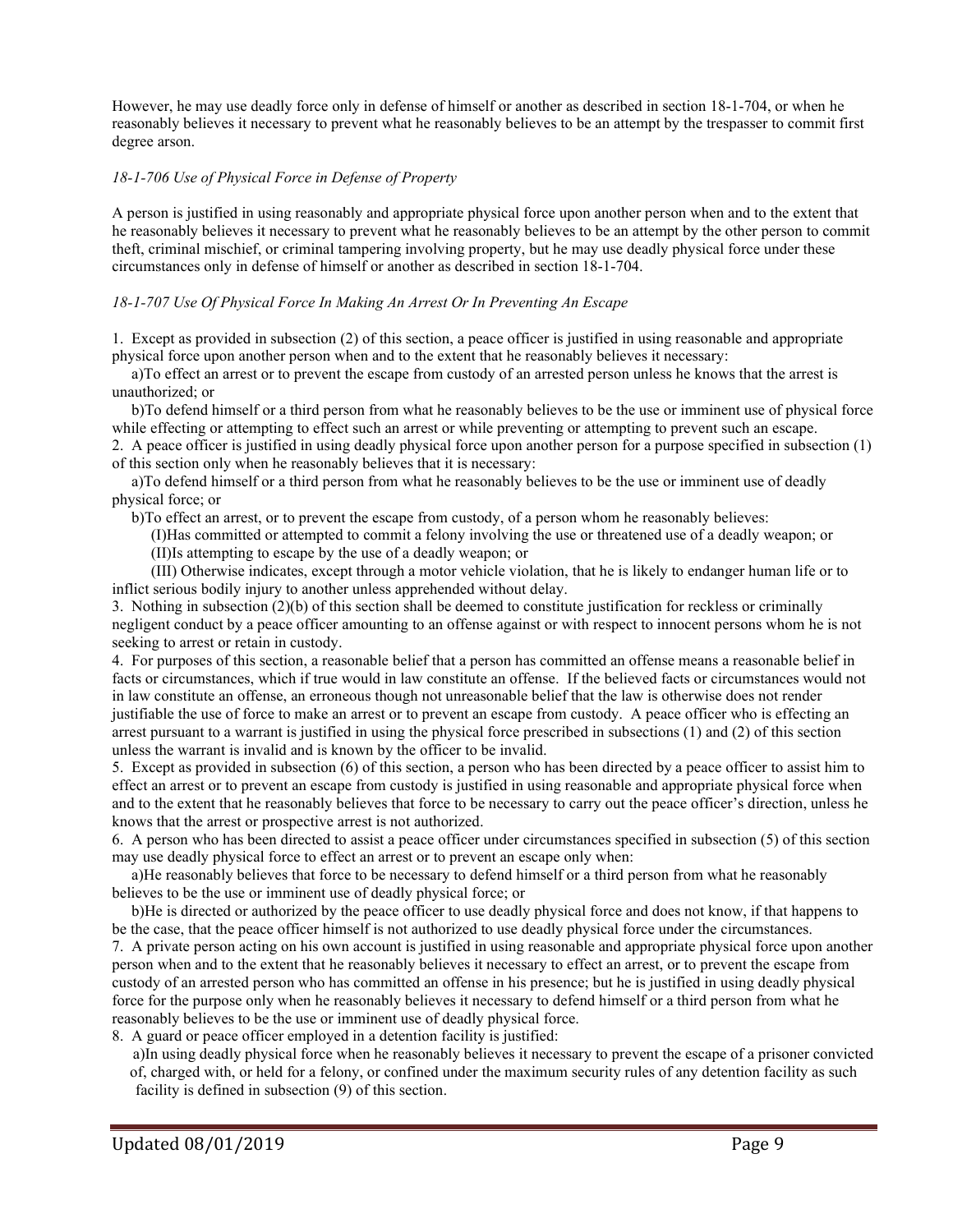However, he may use deadly force only in defense of himself or another as described in section 18-1-704, or when he reasonably believes it necessary to prevent what he reasonably believes to be an attempt by the trespasser to commit first degree arson.

### *18-1-706 Use of Physical Force in Defense of Property*

A person is justified in using reasonably and appropriate physical force upon another person when and to the extent that he reasonably believes it necessary to prevent what he reasonably believes to be an attempt by the other person to commit theft, criminal mischief, or criminal tampering involving property, but he may use deadly physical force under these circumstances only in defense of himself or another as described in section 18-1-704.

### *18-1-707 Use Of Physical Force In Making An Arrest Or In Preventing An Escape*

1. Except as provided in subsection (2) of this section, a peace officer is justified in using reasonable and appropriate physical force upon another person when and to the extent that he reasonably believes it necessary:

 a)To effect an arrest or to prevent the escape from custody of an arrested person unless he knows that the arrest is unauthorized; or

 b)To defend himself or a third person from what he reasonably believes to be the use or imminent use of physical force while effecting or attempting to effect such an arrest or while preventing or attempting to prevent such an escape.

2. A peace officer is justified in using deadly physical force upon another person for a purpose specified in subsection (1) of this section only when he reasonably believes that it is necessary:

 a)To defend himself or a third person from what he reasonably believes to be the use or imminent use of deadly physical force; or

b)To effect an arrest, or to prevent the escape from custody, of a person whom he reasonably believes:

 (I)Has committed or attempted to commit a felony involving the use or threatened use of a deadly weapon; or (II)Is attempting to escape by the use of a deadly weapon; or

 (III) Otherwise indicates, except through a motor vehicle violation, that he is likely to endanger human life or to inflict serious bodily injury to another unless apprehended without delay.

3. Nothing in subsection (2)(b) of this section shall be deemed to constitute justification for reckless or criminally negligent conduct by a peace officer amounting to an offense against or with respect to innocent persons whom he is not seeking to arrest or retain in custody.

4. For purposes of this section, a reasonable belief that a person has committed an offense means a reasonable belief in facts or circumstances, which if true would in law constitute an offense. If the believed facts or circumstances would not in law constitute an offense, an erroneous though not unreasonable belief that the law is otherwise does not render justifiable the use of force to make an arrest or to prevent an escape from custody. A peace officer who is effecting an arrest pursuant to a warrant is justified in using the physical force prescribed in subsections (1) and (2) of this section unless the warrant is invalid and is known by the officer to be invalid.

5. Except as provided in subsection (6) of this section, a person who has been directed by a peace officer to assist him to effect an arrest or to prevent an escape from custody is justified in using reasonable and appropriate physical force when and to the extent that he reasonably believes that force to be necessary to carry out the peace officer's direction, unless he knows that the arrest or prospective arrest is not authorized.

6. A person who has been directed to assist a peace officer under circumstances specified in subsection (5) of this section may use deadly physical force to effect an arrest or to prevent an escape only when:

 a)He reasonably believes that force to be necessary to defend himself or a third person from what he reasonably believes to be the use or imminent use of deadly physical force; or

 b)He is directed or authorized by the peace officer to use deadly physical force and does not know, if that happens to be the case, that the peace officer himself is not authorized to use deadly physical force under the circumstances.

7. A private person acting on his own account is justified in using reasonable and appropriate physical force upon another person when and to the extent that he reasonably believes it necessary to effect an arrest, or to prevent the escape from custody of an arrested person who has committed an offense in his presence; but he is justified in using deadly physical force for the purpose only when he reasonably believes it necessary to defend himself or a third person from what he reasonably believes to be the use or imminent use of deadly physical force.

8. A guard or peace officer employed in a detention facility is justified:

 a)In using deadly physical force when he reasonably believes it necessary to prevent the escape of a prisoner convicted of, charged with, or held for a felony, or confined under the maximum security rules of any detention facility as such facility is defined in subsection (9) of this section.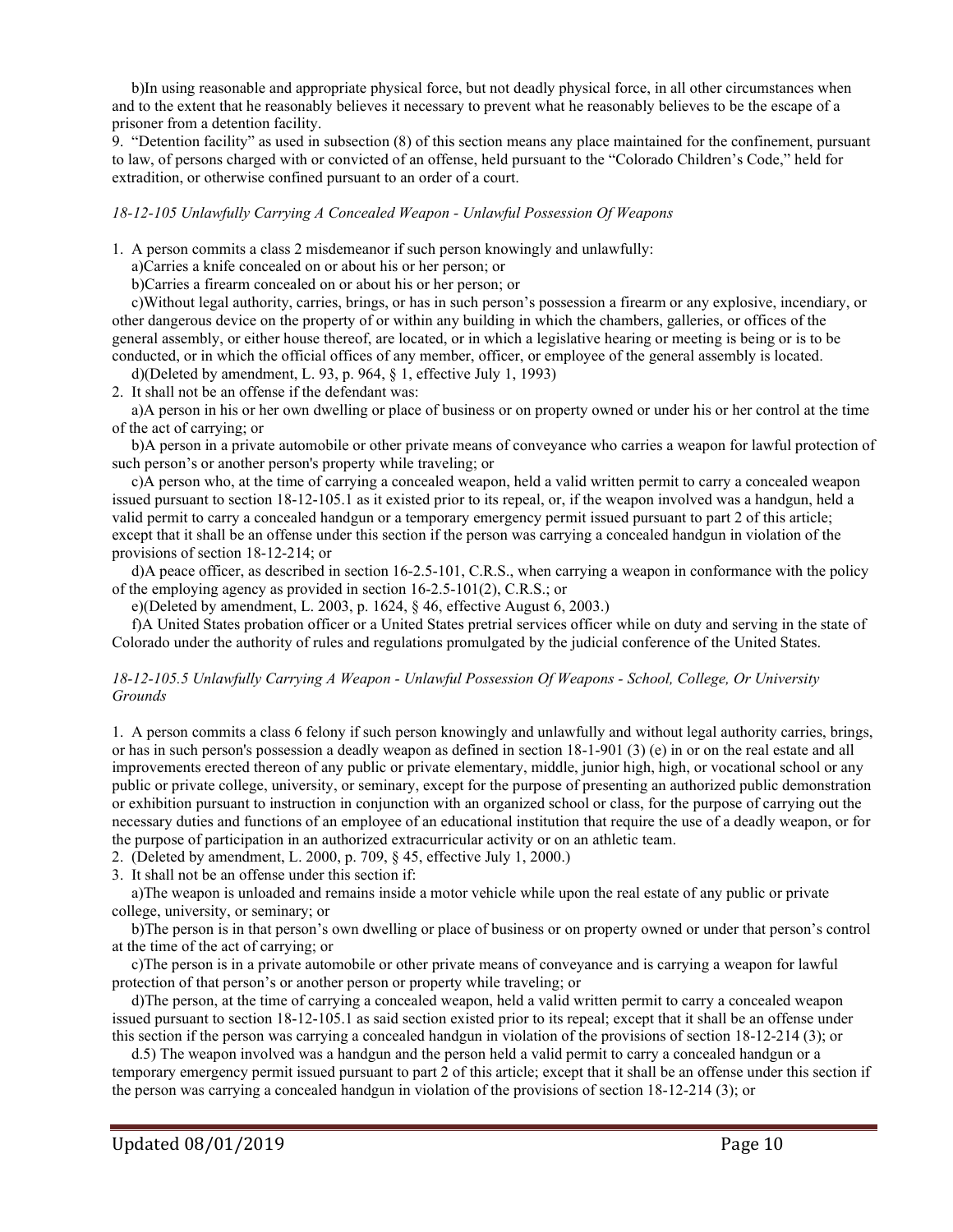b)In using reasonable and appropriate physical force, but not deadly physical force, in all other circumstances when and to the extent that he reasonably believes it necessary to prevent what he reasonably believes to be the escape of a prisoner from a detention facility.

9. "Detention facility" as used in subsection (8) of this section means any place maintained for the confinement, pursuant to law, of persons charged with or convicted of an offense, held pursuant to the "Colorado Children's Code," held for extradition, or otherwise confined pursuant to an order of a court.

*18-12-105 Unlawfully Carrying A Concealed Weapon - Unlawful Possession Of Weapons*

1. A person commits a class 2 misdemeanor if such person knowingly and unlawfully:

a)Carries a knife concealed on or about his or her person; or

b)Carries a firearm concealed on or about his or her person; or

 c)Without legal authority, carries, brings, or has in such person's possession a firearm or any explosive, incendiary, or other dangerous device on the property of or within any building in which the chambers, galleries, or offices of the general assembly, or either house thereof, are located, or in which a legislative hearing or meeting is being or is to be conducted, or in which the official offices of any member, officer, or employee of the general assembly is located.

d)(Deleted by amendment, L. 93, p. 964, § 1, effective July 1, 1993)

2. It shall not be an offense if the defendant was:

 a)A person in his or her own dwelling or place of business or on property owned or under his or her control at the time of the act of carrying; or

 b)A person in a private automobile or other private means of conveyance who carries a weapon for lawful protection of such person's or another person's property while traveling; or

 c)A person who, at the time of carrying a concealed weapon, held a valid written permit to carry a concealed weapon issued pursuant to section 18-12-105.1 as it existed prior to its repeal, or, if the weapon involved was a handgun, held a valid permit to carry a concealed handgun or a temporary emergency permit issued pursuant to part 2 of this article; except that it shall be an offense under this section if the person was carrying a concealed handgun in violation of the provisions of section 18-12-214; or

 d)A peace officer, as described in section 16-2.5-101, C.R.S., when carrying a weapon in conformance with the policy of the employing agency as provided in section 16-2.5-101(2), C.R.S.; or

e)(Deleted by amendment, L. 2003, p. 1624, § 46, effective August 6, 2003.)

 f)A United States probation officer or a United States pretrial services officer while on duty and serving in the state of Colorado under the authority of rules and regulations promulgated by the judicial conference of the United States.

#### *18-12-105.5 Unlawfully Carrying A Weapon - Unlawful Possession Of Weapons - School, College, Or University Grounds*

1. A person commits a class 6 felony if such person knowingly and unlawfully and without legal authority carries, brings, or has in such person's possession a deadly weapon as defined in section [18-1-901](http://www.michie.com/colorado/lpext.dll?f=FifLink&t=document-frame.htm&l=jump&iid=COCODE&d=18-1-901&sid=73c12f07.334cadc6.0.0#JD_18-1-901) (3) (e) in or on the real estate and all improvements erected thereon of any public or private elementary, middle, junior high, high, or vocational school or any public or private college, university, or seminary, except for the purpose of presenting an authorized public demonstration or exhibition pursuant to instruction in conjunction with an organized school or class, for the purpose of carrying out the necessary duties and functions of an employee of an educational institution that require the use of a deadly weapon, or for the purpose of participation in an authorized extracurricular activity or on an athletic team.

2. (Deleted by amendment, L. 2000, p. 709, § 45, effective July 1, 2000.)

3. It shall not be an offense under this section if:

 a)The weapon is unloaded and remains inside a motor vehicle while upon the real estate of any public or private college, university, or seminary; or

 b)The person is in that person's own dwelling or place of business or on property owned or under that person's control at the time of the act of carrying; or

 c)The person is in a private automobile or other private means of conveyance and is carrying a weapon for lawful protection of that person's or another person or property while traveling; or

 d)The person, at the time of carrying a concealed weapon, held a valid written permit to carry a concealed weapon issued pursuant to section 18-12-105.1 as said section existed prior to its repeal; except that it shall be an offense under this section if the person was carrying a concealed handgun in violation of the provisions of section 18-12-214 (3); or

 d.5) The weapon involved was a handgun and the person held a valid permit to carry a concealed handgun or a temporary emergency permit issued pursuant to part 2 of this article; except that it shall be an offense under this section if the person was carrying a concealed handgun in violation of the provisions of section 18-12-214 (3); or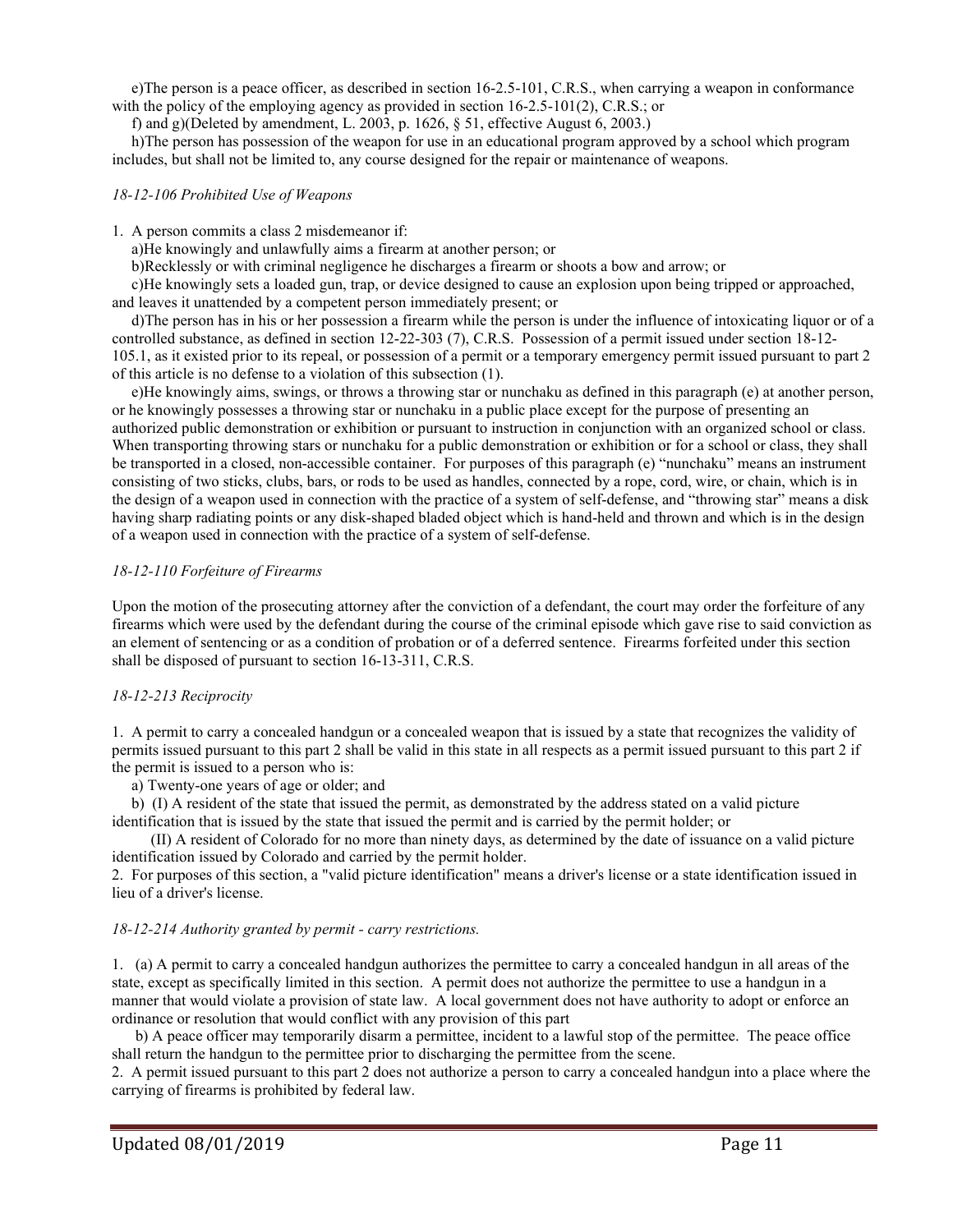e)The person is a peace officer, as described in section 16-2.5-101, C.R.S., when carrying a weapon in conformance with the policy of the employing agency as provided in section 16-2.5-101(2), C.R.S.; or

f) and g)(Deleted by amendment, L. 2003, p. 1626, § 51, effective August 6, 2003.)

 h)The person has possession of the weapon for use in an educational program approved by a school which program includes, but shall not be limited to, any course designed for the repair or maintenance of weapons.

#### *18-12-106 Prohibited Use of Weapons*

1. A person commits a class 2 misdemeanor if:

a)He knowingly and unlawfully aims a firearm at another person; or

b)Recklessly or with criminal negligence he discharges a firearm or shoots a bow and arrow; or

 c)He knowingly sets a loaded gun, trap, or device designed to cause an explosion upon being tripped or approached, and leaves it unattended by a competent person immediately present; or

 d)The person has in his or her possession a firearm while the person is under the influence of intoxicating liquor or of a controlled substance, as defined in section 12-22-303 (7), C.R.S. Possession of a permit issued under section 18-12- 105.1, as it existed prior to its repeal, or possession of a permit or a temporary emergency permit issued pursuant to part 2 of this article is no defense to a violation of this subsection (1).

 e)He knowingly aims, swings, or throws a throwing star or nunchaku as defined in this paragraph (e) at another person, or he knowingly possesses a throwing star or nunchaku in a public place except for the purpose of presenting an authorized public demonstration or exhibition or pursuant to instruction in conjunction with an organized school or class. When transporting throwing stars or nunchaku for a public demonstration or exhibition or for a school or class, they shall be transported in a closed, non-accessible container. For purposes of this paragraph (e) "nunchaku" means an instrument consisting of two sticks, clubs, bars, or rods to be used as handles, connected by a rope, cord, wire, or chain, which is in the design of a weapon used in connection with the practice of a system of self-defense, and "throwing star" means a disk having sharp radiating points or any disk-shaped bladed object which is hand-held and thrown and which is in the design of a weapon used in connection with the practice of a system of self-defense.

#### *18-12-110 Forfeiture of Firearms*

Upon the motion of the prosecuting attorney after the conviction of a defendant, the court may order the forfeiture of any firearms which were used by the defendant during the course of the criminal episode which gave rise to said conviction as an element of sentencing or as a condition of probation or of a deferred sentence. Firearms forfeited under this section shall be disposed of pursuant to section 16-13-311, C.R.S.

#### *18-12-213 Reciprocity*

1. A permit to carry a concealed handgun or a concealed weapon that is issued by a state that recognizes the validity of permits issued pursuant to this part 2 shall be valid in this state in all respects as a permit issued pursuant to this part 2 if the permit is issued to a person who is:

a) Twenty-one years of age or older; and

b) (I) A resident of the state that issued the permit, as demonstrated by the address stated on a valid picture

identification that is issued by the state that issued the permit and is carried by the permit holder; or

 (II) A resident of Colorado for no more than ninety days, as determined by the date of issuance on a valid picture identification issued by Colorado and carried by the permit holder.

2. For purposes of this section, a "valid picture identification" means a driver's license or a state identification issued in lieu of a driver's license.

#### *18-12-214 Authority granted by permit - carry restrictions.*

1. (a) A permit to carry a concealed handgun authorizes the permittee to carry a concealed handgun in all areas of the state, except as specifically limited in this section. A permit does not authorize the permittee to use a handgun in a manner that would violate a provision of state law. A local government does not have authority to adopt or enforce an ordinance or resolution that would conflict with any provision of this part

 b) A peace officer may temporarily disarm a permittee, incident to a lawful stop of the permittee. The peace office shall return the handgun to the permittee prior to discharging the permittee from the scene.

2. A permit issued pursuant to this part 2 does not authorize a person to carry a concealed handgun into a place where the carrying of firearms is prohibited by federal law.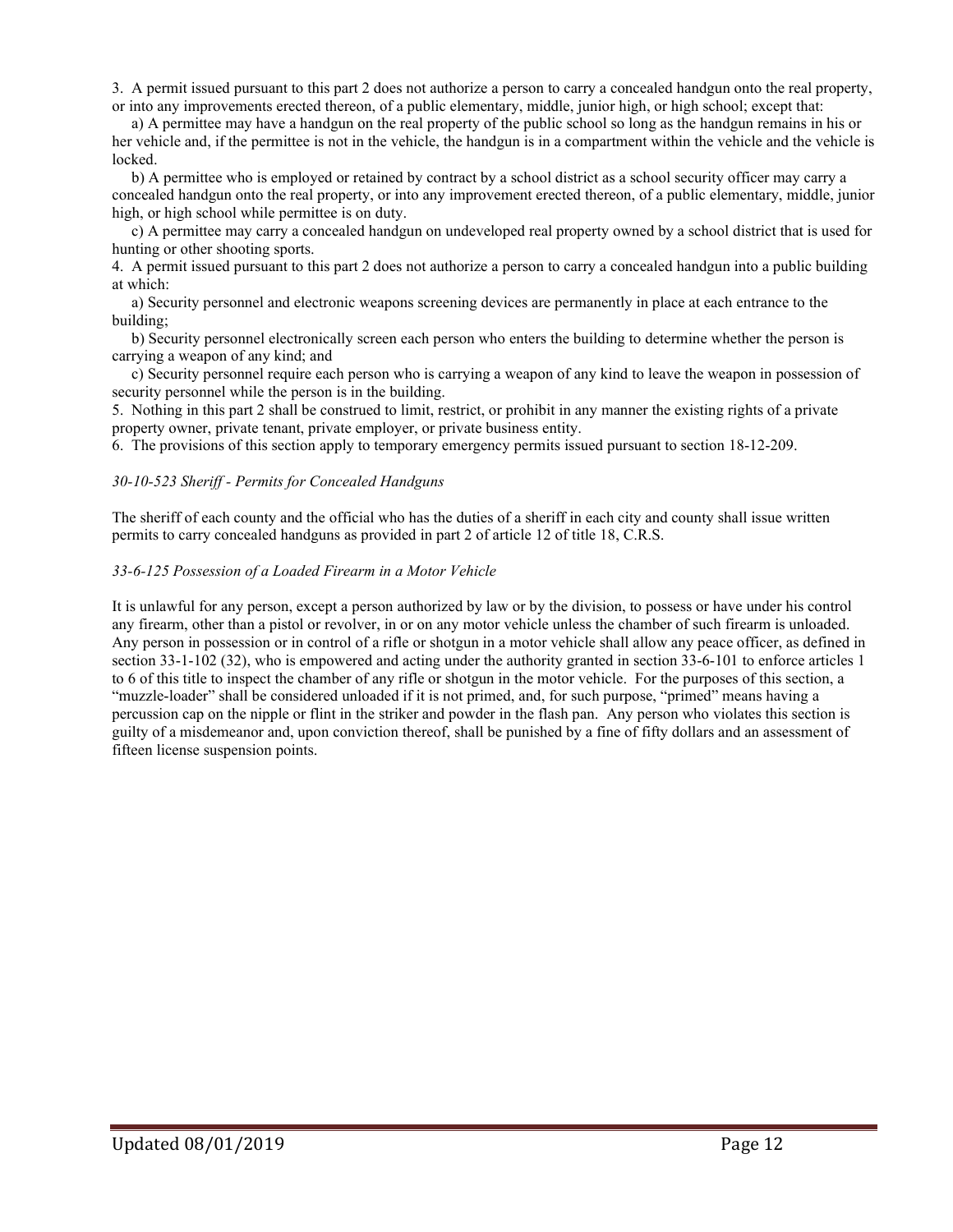3. A permit issued pursuant to this part 2 does not authorize a person to carry a concealed handgun onto the real property, or into any improvements erected thereon, of a public elementary, middle, junior high, or high school; except that:

 a) A permittee may have a handgun on the real property of the public school so long as the handgun remains in his or her vehicle and, if the permittee is not in the vehicle, the handgun is in a compartment within the vehicle and the vehicle is locked.

 b) A permittee who is employed or retained by contract by a school district as a school security officer may carry a concealed handgun onto the real property, or into any improvement erected thereon, of a public elementary, middle, junior high, or high school while permittee is on duty.

 c) A permittee may carry a concealed handgun on undeveloped real property owned by a school district that is used for hunting or other shooting sports.

4. A permit issued pursuant to this part 2 does not authorize a person to carry a concealed handgun into a public building at which:

 a) Security personnel and electronic weapons screening devices are permanently in place at each entrance to the building;

 b) Security personnel electronically screen each person who enters the building to determine whether the person is carrying a weapon of any kind; and

 c) Security personnel require each person who is carrying a weapon of any kind to leave the weapon in possession of security personnel while the person is in the building.

5. Nothing in this part 2 shall be construed to limit, restrict, or prohibit in any manner the existing rights of a private property owner, private tenant, private employer, or private business entity.

6. The provisions of this section apply to temporary emergency permits issued pursuant to section 18-12-209.

#### *30-10-523 Sheriff - Permits for Concealed Handguns*

The sheriff of each county and the official who has the duties of a sheriff in each city and county shall issue written permits to carry concealed handguns as provided in part 2 of article 12 of title 18, C.R.S.

#### *33-6-125 Possession of a Loaded Firearm in a Motor Vehicle*

It is unlawful for any person, except a person authorized by law or by the division, to possess or have under his control any firearm, other than a pistol or revolver, in or on any motor vehicle unless the chamber of such firearm is unloaded. Any person in possession or in control of a rifle or shotgun in a motor vehicle shall allow any peace officer, as defined in section 33-1-102 (32), who is empowered and acting under the authority granted in section 33-6-101 to enforce articles 1 to 6 of this title to inspect the chamber of any rifle or shotgun in the motor vehicle. For the purposes of this section, a "muzzle-loader" shall be considered unloaded if it is not primed, and, for such purpose, "primed" means having a percussion cap on the nipple or flint in the striker and powder in the flash pan. Any person who violates this section is guilty of a misdemeanor and, upon conviction thereof, shall be punished by a fine of fifty dollars and an assessment of fifteen license suspension points.